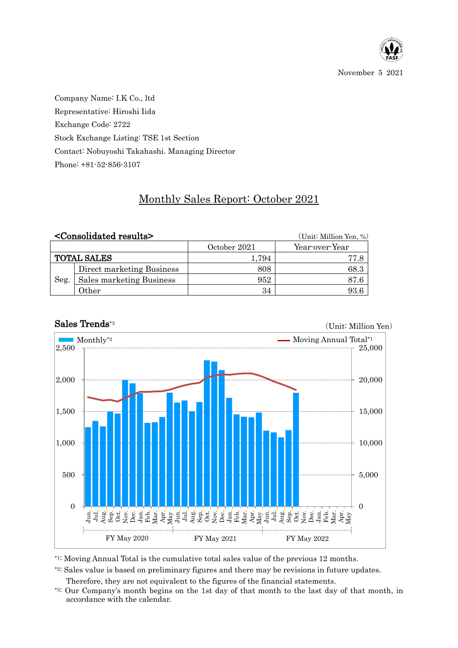

November 5 2021

Company Name: I.K Co., ltd Representative: Hiroshi Iida Exchange Code: 2722 Stock Exchange Listing: TSE 1st Section Contact: Nobuyoshi Takahashi. Managing Director Phone: +81-52-856-3107

## Monthly Sales Report: October 2021

|                    | <consolidated results=""></consolidated> |              | (Unit: Million Yen, %) |  |  |  |
|--------------------|------------------------------------------|--------------|------------------------|--|--|--|
|                    |                                          | October 2021 | Year-over-Year         |  |  |  |
| <b>TOTAL SALES</b> |                                          | 1.794        | 77.8                   |  |  |  |
| Seg.               | Direct marketing Business                | 808          | 68.3                   |  |  |  |
|                    | Sales marketing Business                 | 952          | 87.6                   |  |  |  |
|                    | Other                                    | 34           | 93.6                   |  |  |  |



## Sales Trends\*3

(Unit: Million Yen)

\*1: Moving Annual Total is the cumulative total sales value of the previous 12 months.

\*2: Sales value is based on preliminary figures and there may be revisions in future updates.

Therefore, they are not equivalent to the figures of the financial statements.

\*3: Our Company's month begins on the 1st day of that month to the last day of that month, in accordance with the calendar.